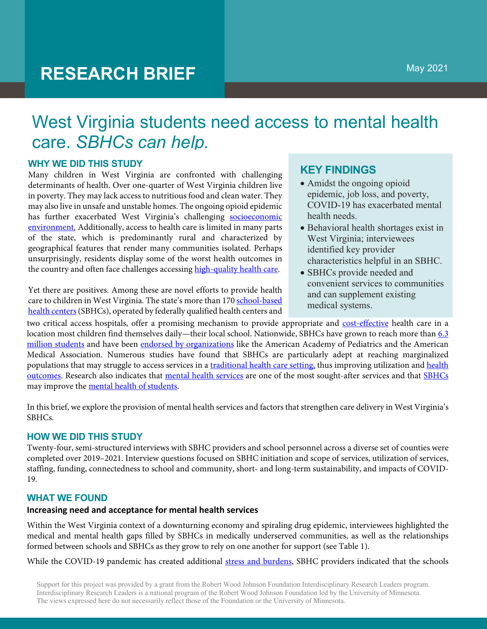# **RESEARCH BRIEF**

## West Virginia students need access to mental health care. *SBHCs can help.*

## **WHY WE DID THIS STUDY**

Many children in West Virginia are confronted with challenging determinants of health. Over one-quarter of West Virginia children live in poverty. They may lack access to nutritious food and clean water. They may also live in unsafe and unstable homes. The ongoing opioid epidemic has further exacerbated West Virginia's challenging socioeconomic environment. Additionally, access to health care is limited in many parts of the state, which is predominantly rural and characterized by geographical features that render many communities isolated. Perhaps unsurprisingly, residents display some of the worst health outcomes in the country and often face challenges accessing high-quality health care.

Yet there are positives. Among these are novel efforts to provide health care to children in West Virginia. The state's more than 170 school-based health centers (SBHCs), operated by federally qualified health centers and

## **KEY FINDINGS**

- Amidst the ongoing opioid epidemic, job loss, and poverty, COVID-19 has exacerbated mental health needs.
- Behavioral health shortages exist in West Virginia; interviewees identified key provider characteristics helpful in an SBHC.
- SBHCs provide needed and convenient services to communities and can supplement existing medical systems.

two critical access hospitals, offer a promising mechanism to provide appropriate and cost-effective health care in a location most children find themselves daily—their local school. Nationwide, SBHCs have grown to reach more than 6.3 million students and have been endorsed by organizations like the American Academy of Pediatrics and the American Medical Association. Numerous studies have found that SBHCs are particularly adept at reaching marginalized populations that may struggle to access services in a traditional health care setting, thus improving utilization and health outcomes. Research also indicates that mental health services are one of the most sought-after services and that SBHCs may improve the mental health of students.

In this brief, we explore the provision of mental health services and factors that strengthen care delivery in West Virginia's SBHCs.

## **HOW WE DID THIS STUDY**

Twenty-four, semi-structured interviews with SBHC providers and school personnel across a diverse set of counties were completed over 2019–2021. Interview questions focused on SBHC initiation and scope of services, utilization of services, staffing, funding, connectedness to school and community, short- and long-term sustainability, and impacts of COVID-19.

## **WHAT WE FOUND**

#### **Increasing need and acceptance for mental health services**

Within the West Virginia context of a downturning economy and spiraling drug epidemic, interviewees highlighted the medical and mental health gaps filled by SBHCs in medically underserved communities, as well as the relationships formed between schools and SBHCs as they grow to rely on one another for support (see Table 1).

While the COVID-19 pandemic has created additional stress and burdens, SBHC providers indicated that the schools

Support for this project was provided by a grant from the Robert Wood Johnson Foundation Interdisciplinary Research Leaders program. Interdisciplinary Research Leaders is a national program of the Robert Wood Johnson Foundation led by the University of Minnesota. The views expressed here do not necessarily reflect those of the Foundation or the University of Minnesota.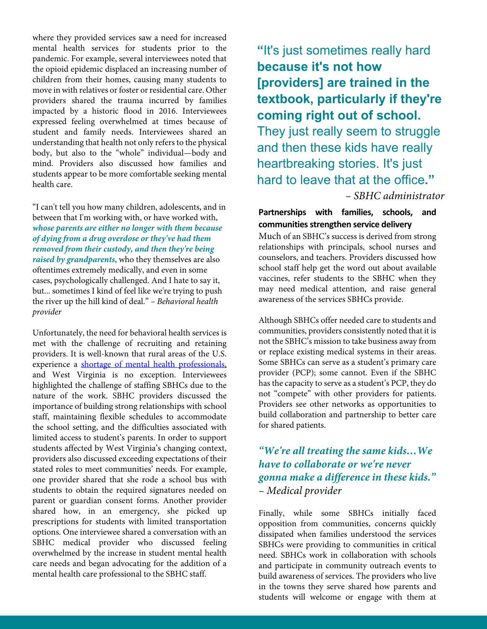where they provided services saw a need for increased mental health services for students prior to the pandemic. For example, several interviewees noted that the opioid epidemic displaced an increasing number of children from their homes, causing many students to move in with relatives or foster or residential care. Other providers shared the trauma incurred by families impacted by a historic flood in 2016. Interviewees expressed feeling overwhelmed at times because of student and family needs. Interviewees shared an understanding that health not only refers to the physical body, but also to the "whole" individual—body and mind. Providers also discussed how families and students appear to be more comfortable seeking mental health care.

"I can't tell you how many children, adolescents, and in between that I'm working with, or have worked with, *whose parents are either no longer with them because of dying from a drug overdose or they've had them removed from their custody, and then they're being raised by grandparents*, who they themselves are also oftentimes extremely medically, and even in some cases, psychologically challenged. And I hate to say it, but... sometimes I kind of feel like we're trying to push the river up the hill kind of deal." *– Behavioral health provider*

Unfortunately, the need for behavioral health services is met with the challenge of recruiting and retaining providers. It is well-known that rural areas of the U.S. experience a shortage of mental health professionals, and West Virginia is no exception. Interviewees highlighted the challenge of staffing SBHCs due to the nature of the work. SBHC providers discussed the importance of building strong relationships with school staff, maintaining flexible schedules to accommodate the school setting, and the difficulties associated with limited access to student's parents. In order to support students affected by West Virginia's changing context, providers also discussed exceeding expectations of their stated roles to meet communities' needs. For example, one provider shared that she rode a school bus with students to obtain the required signatures needed on parent or guardian consent forms. Another provider shared how, in an emergency, she picked up prescriptions for students with limited transportation options. One interviewee shared a conversation with an SBHC medical provider who discussed feeling overwhelmed by the increase in student mental health care needs and began advocating for the addition of a mental health care professional to the SBHC staff.

**"**It's just sometimes really hard **because it's not how [providers] are trained in the textbook, particularly if they're coming right out of school.**  They just really seem to struggle and then these kids have really heartbreaking stories. It's just hard to leave that at the office**."**  *– SBHC administrator*

## **Partnerships with families, schools, and**  communities strengthen service delivery

Much of an SBHC's success is derived from strong relationships with principals, school nurses and counselors, and teachers. Providers discussed how school staff help get the word out about available vaccines, refer students to the SBHC when they may need medical attention, and raise general awareness of the services SBHCs provide.

Although SBHCs offer needed care to students and communities, providers consistently noted that it is not the SBHC's mission to take business away from or replace existing medical systems in their areas. Some SBHCs can serve as a student's primary care provider (PCP); some cannot. Even if the SBHC has the capacity to serve as a student's PCP, they do not "compete" with other providers for patients. Providers see other networks as opportunities to build collaboration and partnership to better care for shared patients.

## *"We're all treating the same kids…We have to collaborate or we're never gonna make a difference in these kids." – Medical provider*

Finally, while some SBHCs initially faced opposition from communities, concerns quickly dissipated when families understood the services SBHCs were providing to communities in critical need. SBHCs work in collaboration with schools and participate in community outreach events to build awareness of services. The providers who live in the towns they serve shared how parents and students will welcome or engage with them at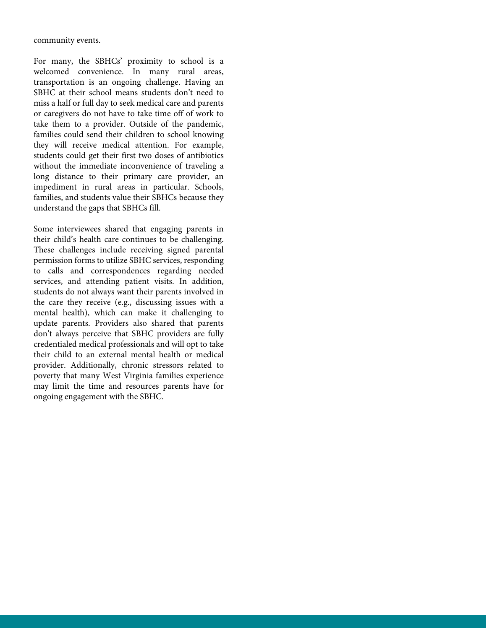community events.

For many, the SBHCs' proximity to school is a welcomed convenience. In many rural areas, transportation is an ongoing challenge. Having an SBHC at their school means students don't need to miss a half or full day to seek medical care and parents or caregivers do not have to take time off of work to take them to a provider. Outside of the pandemic, families could send their children to school knowing they will receive medical attention. For example, students could get their first two doses of antibiotics without the immediate inconvenience of traveling a long distance to their primary care provider, an impediment in rural areas in particular. Schools, families, and students value their SBHCs because they understand the gaps that SBHCs fill.

Some interviewees shared that engaging parents in their child's health care continues to be challenging. These challenges include receiving signed parental permission forms to utilize SBHC services, responding to calls and correspondences regarding needed services, and attending patient visits. In addition, students do not always want their parents involved in the care they receive (e.g., discussing issues with a mental health), which can make it challenging to update parents. Providers also shared that parents don't always perceive that SBHC providers are fully credentialed medical professionals and will opt to take their child to an external mental health or medical provider. Additionally, chronic stressors related to poverty that many West Virginia families experience may limit the time and resources parents have for ongoing engagement with the SBHC.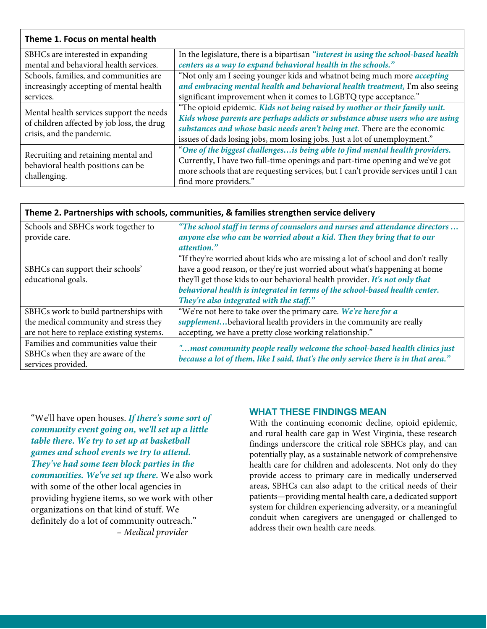## **Theme 1. Focus on mental health**

| SBHCs are interested in expanding                                                                                   | In the legislature, there is a bipartisan "interest in using the school-based health |
|---------------------------------------------------------------------------------------------------------------------|--------------------------------------------------------------------------------------|
| mental and behavioral health services.                                                                              | centers as a way to expand behavioral health in the schools."                        |
| Schools, families, and communities are                                                                              | "Not only am I seeing younger kids and whatnot being much more <i>accepting</i>      |
| increasingly accepting of mental health                                                                             | and embracing mental health and behavioral health treatment, I'm also seeing         |
| services.                                                                                                           | significant improvement when it comes to LGBTQ type acceptance."                     |
| Mental health services support the needs<br>of children affected by job loss, the drug<br>crisis, and the pandemic. | "The opioid epidemic. Kids not being raised by mother or their family unit.          |
|                                                                                                                     | Kids whose parents are perhaps addicts or substance abuse users who are using        |
|                                                                                                                     | substances and whose basic needs aren't being met. There are the economic            |
|                                                                                                                     | issues of dads losing jobs, mom losing jobs. Just a lot of unemployment."            |
| Recruiting and retaining mental and<br>behavioral health positions can be<br>challenging.                           | "One of the biggest challenges is being able to find mental health providers.        |
|                                                                                                                     | Currently, I have two full-time openings and part-time opening and we've got         |
|                                                                                                                     | more schools that are requesting services, but I can't provide services until I can  |
|                                                                                                                     | find more providers."                                                                |
|                                                                                                                     |                                                                                      |

| Theme 2. Tartherships with schools, communication, & families strengthen service denvery       |                                                                                                                                                                                                                                                                                                                                                                          |
|------------------------------------------------------------------------------------------------|--------------------------------------------------------------------------------------------------------------------------------------------------------------------------------------------------------------------------------------------------------------------------------------------------------------------------------------------------------------------------|
| Schools and SBHCs work together to<br>provide care.                                            | "The school staff in terms of counselors and nurses and attendance directors<br>anyone else who can be worried about a kid. Then they bring that to our<br>attention."                                                                                                                                                                                                   |
| SBHCs can support their schools'<br>educational goals.                                         | "If they're worried about kids who are missing a lot of school and don't really<br>have a good reason, or they're just worried about what's happening at home<br>they'll get those kids to our behavioral health provider. It's not only that<br>behavioral health is integrated in terms of the school-based health center.<br>They're also integrated with the staff." |
| SBHCs work to build partnerships with<br>the medical community and stress they                 | "We're not here to take over the primary care. We're here for a<br>supplementbehavioral health providers in the community are really                                                                                                                                                                                                                                     |
| are not here to replace existing systems.                                                      | accepting, we have a pretty close working relationship."                                                                                                                                                                                                                                                                                                                 |
| Families and communities value their<br>SBHCs when they are aware of the<br>services provided. | "most community people really welcome the school-based health clinics just<br>because a lot of them, like I said, that's the only service there is in that area."                                                                                                                                                                                                        |

**Theme 2. Partnerships with schools, communities, & families strengthen service delivery**

"We'll have open houses. *If there's some sort of community event going on, we'll set up a little table there. We try to set up at basketball games and school events we try to attend. They've had some teen block parties in the communities. We've set up there.* We also work with some of the other local agencies in providing hygiene items, so we work with other organizations on that kind of stuff. We definitely do a lot of community outreach." *– Medical provider* 

## **WHAT THESE FINDINGS MEAN**

With the continuing economic decline, opioid epidemic, and rural health care gap in West Virginia, these research findings underscore the critical role SBHCs play, and can potentially play, as a sustainable network of comprehensive health care for children and adolescents. Not only do they provide access to primary care in medically underserved areas, SBHCs can also adapt to the critical needs of their patients—providing mental health care, a dedicated support system for children experiencing adversity, or a meaningful conduit when caregivers are unengaged or challenged to address their own health care needs.